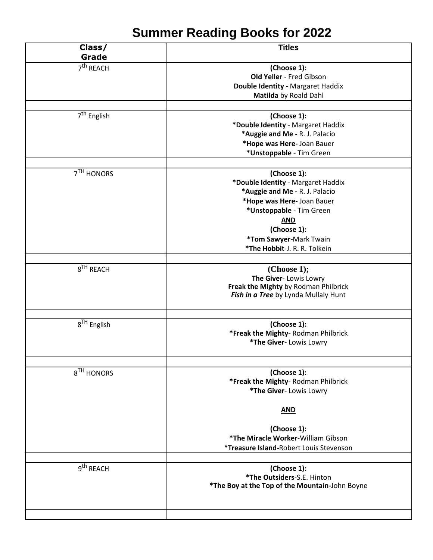## **Summer Reading Books for 2022**

| Class/<br>Grade         | <b>Titles</b>                                  |
|-------------------------|------------------------------------------------|
| 7 <sup>th</sup> REACH   |                                                |
|                         | (Choose 1):                                    |
|                         | Old Yeller - Fred Gibson                       |
|                         | Double Identity - Margaret Haddix              |
|                         | Matilda by Roald Dahl                          |
|                         |                                                |
| 7 <sup>th</sup> English | (Choose 1):                                    |
|                         | *Double Identity - Margaret Haddix             |
|                         | *Auggie and Me - R. J. Palacio                 |
|                         | *Hope was Here- Joan Bauer                     |
|                         | *Unstoppable - Tim Green                       |
|                         |                                                |
| 7 <sup>TH</sup> HONORS  | (Choose 1):                                    |
|                         | *Double Identity - Margaret Haddix             |
|                         | *Auggie and Me - R. J. Palacio                 |
|                         | *Hope was Here- Joan Bauer                     |
|                         | *Unstoppable - Tim Green                       |
|                         | <b>AND</b>                                     |
|                         | (Choose 1):                                    |
|                         | *Tom Sawyer-Mark Twain                         |
|                         |                                                |
|                         | *The Hobbit-J. R. R. Tolkein                   |
|                         |                                                |
| $8TH$ REACH             | (Choose 1);                                    |
|                         | The Giver-Lowis Lowry                          |
|                         | Freak the Mighty by Rodman Philbrick           |
|                         | Fish in a Tree by Lynda Mullaly Hunt           |
|                         |                                                |
| $8TH$ English           | (Choose 1):                                    |
|                         | *Freak the Mighty-Rodman Philbrick             |
|                         | *The Giver- Lowis Lowry                        |
|                         |                                                |
|                         |                                                |
| 8 <sup>TH</sup> HONORS  | (Choose 1):                                    |
|                         | *Freak the Mighty-Rodman Philbrick             |
|                         | *The Giver- Lowis Lowry                        |
|                         |                                                |
|                         | <b>AND</b>                                     |
|                         | (Choose 1):                                    |
|                         | *The Miracle Worker-William Gibson             |
|                         | <i>*Treasure Island-Robert Louis Stevenson</i> |
|                         |                                                |
| 9 <sup>th</sup> REACH   |                                                |
|                         | (Choose 1):<br>*The Outsiders-S.E. Hinton      |
|                         | *The Boy at the Top of the Mountain-John Boyne |
|                         |                                                |
|                         |                                                |
|                         |                                                |
|                         |                                                |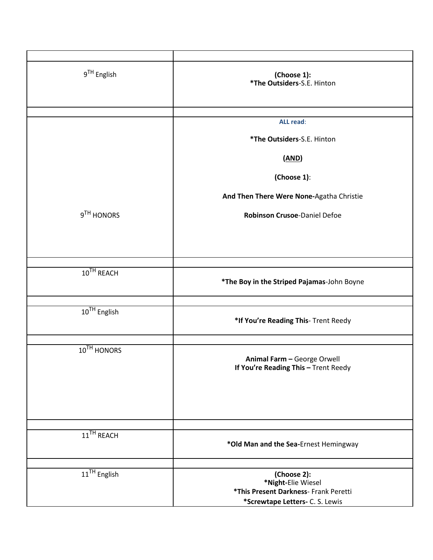| 9 <sup>TH</sup> English | (Choose 1):<br>*The Outsiders-S.E. Hinton                                  |
|-------------------------|----------------------------------------------------------------------------|
|                         |                                                                            |
|                         | <b>ALL read:</b>                                                           |
|                         | *The Outsiders-S.E. Hinton                                                 |
|                         | (MD)                                                                       |
|                         | (Choose 1):                                                                |
|                         | And Then There Were None-Agatha Christie                                   |
| 9TH HONORS              | Robinson Crusoe-Daniel Defoe                                               |
|                         |                                                                            |
|                         |                                                                            |
|                         |                                                                            |
| $10TH$ REACH            | *The Boy in the Striped Pajamas-John Boyne                                 |
|                         |                                                                            |
| $10^{TH}$ English       | *If You're Reading This- Trent Reedy                                       |
|                         |                                                                            |
| 10 <sup>TH</sup> HONORS | Animal Farm - George Orwell<br><b>If You're Reading This - Trent Reedy</b> |
|                         |                                                                            |
|                         |                                                                            |
| 11 <sup>TH</sup> REACH  | *Old Man and the Sea-Ernest Hemingway                                      |
|                         |                                                                            |
| $11^{TH}$ English       | (Choose 2):<br>*Night-Elie Wiesel                                          |
|                         | *This Present Darkness- Frank Peretti                                      |
|                         | *Screwtape Letters- C. S. Lewis                                            |